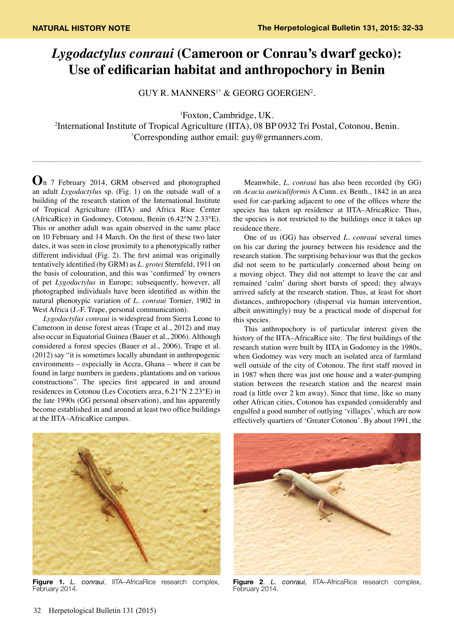## *Lygodactylus conraui* **(Cameroon or Conrau's dwarf gecko): Use of edificarian habitat and anthropochory in Benin**

GUY R. MANNERS1\* & GEORG GOERGEN2 .

1 Foxton, Cambridge, UK.

2 International Institute of Tropical Agriculture (IITA), 08 BP 0932 Tri Postal, Cotonou, Benin. \* Corresponding author email: guy@grmanners.com.

**O**n 7 February 2014, GRM observed and photographed an adult *Lygodactylus* sp. (Fig. 1) on the outside wall of a building of the research station of the International Institute of Tropical Agriculture (IITA) and Africa Rice Center (AfricaRice) in Godomey, Cotonou, Benin (6.42°N 2.33°E). This or another adult was again observed in the same place on 10 February and 14 March. On the first of these two later dates, it was seen in close proximity to a phenotypically rather different individual (Fig. 2). The first animal was originally tentatively identified (by GRM) as *L. grotei* Sternfeld, 1911 on the basis of colouration, and this was 'confirmed' by owners of pet *Lygodactylus* in Europe; subsequently, however, all photographed individuals have been identified as within the natural phenotypic variation of *L. conraui* Tornier, 1902 in West Africa (J.-F. Trape, personal communication).

*Lygodactylus conraui* is widespread from Sierra Leone to Cameroon in dense forest areas (Trape et al., 2012) and may also occur in Equatorial Guinea (Bauer et al., 2006). Although considered a forest species (Bauer et al., 2006), Trape et al. (2012) say "it is sometimes locally abundant in anthropogenic environments – especially in Accra, Ghana – where it can be found in large numbers in gardens, plantations and on various constructions". The species first appeared in and around residences in Cotonou (Les Cocotiers area, 6.21°N 2.23°E) in the late 1990s (GG personal observation), and has apparently become established in and around at least two office buildings at the IITA–AfricaRice campus.

Meanwhile, *L. conraui* has also been recorded (by GG) on *Acacia auriculiformis* A.Cunn. ex Benth., 1842 in an area used for car-parking adjacent to one of the offices where the species has taken up residence at IITA–AfricaRice. Thus, the species is not restricted to the buildings once it takes up residence there.

One of us (GG) has observed *L. conraui* several times on his car during the journey between his residence and the research station. The surprising behaviour was that the geckos did not seem to be particularly concerned about being on a moving object. They did not attempt to leave the car and remained 'calm' during short bursts of speed; they always arrived safely at the research station. Thus, at least for short distances, anthropochory (dispersal via human intervention, albeit unwittingly) may be a practical mode of dispersal for this species.

This anthropochory is of particular interest given the history of the IITA–AfricaRice site. The first buildings of the research station were built by IITA in Godomey in the 1980s, when Godomey was very much an isolated area of farmland well outside of the city of Cotonou. The first staff moved in in 1987 when there was just one house and a water-pumping station between the research station and the nearest main road (a little over 2 km away). Since that time, like so many other African cities, Cotonou has expanded considerably and engulfed a good number of outlying 'villages', which are now effectively quartiers of 'Greater Cotonou'. By about 1991, the



**Figure 1.** *L. conraui*, IITA–AfricaRice research complex, February 2014.



**Figure 2**. *L. conraui,* IITA–AfricaRice research complex, February 2014.